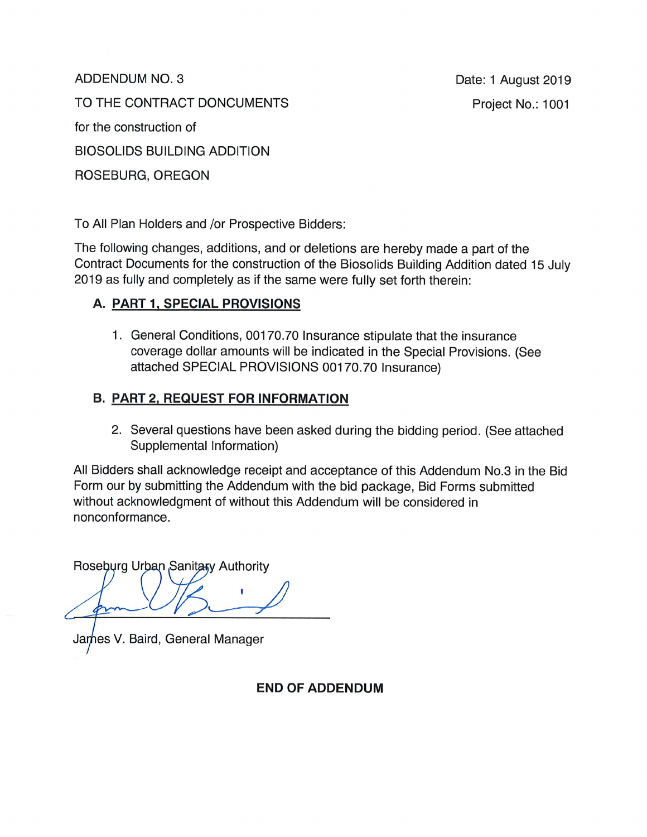ADDENDUM NO. 3

Date: 1 August 2019 Project No.: 1001

TO THE CONTRACT DONCUMENTS

for the construction of

**BIOSOLIDS BUILDING ADDITION** 

ROSEBURG, OREGON

To All Plan Holders and /or Prospective Bidders:

The following changes, additions, and or deletions are hereby made a part of the Contract Documents for the construction of the Biosolids Building Addition dated 15 July 2019 as fully and completely as if the same were fully set forth therein:

# A. PART 1, SPECIAL PROVISIONS

1. General Conditions, 00170.70 Insurance stipulate that the insurance coverage dollar amounts will be indicated in the Special Provisions. (See attached SPECIAL PROVISIONS 00170.70 Insurance)

## **B. PART 2, REQUEST FOR INFORMATION**

2. Several questions have been asked during the bidding period. (See attached Supplemental Information)

All Bidders shall acknowledge receipt and acceptance of this Addendum No.3 in the Bid Form our by submitting the Addendum with the bid package, Bid Forms submitted without acknowledgment of without this Addendum will be considered in nonconformance.

Roseburg Urban Sanitary Authority

James V. Baird, General Manager

**END OF ADDENDUM**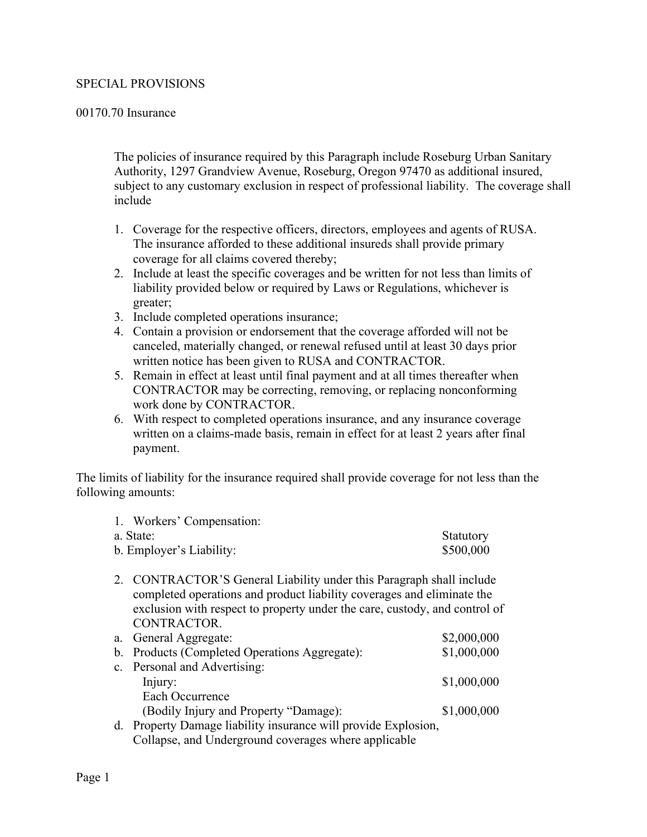### SPECIAL PROVISIONS

#### 00170.70 Insurance

The policies of insurance required by this Paragraph include Roseburg Urban Sanitary Authority, 1297 Grandview Avenue, Roseburg, Oregon 97470 as additional insured, subject to any customary exclusion in respect of professional liability. The coverage shall include

- 1. Coverage for the respective officers, directors, employees and agents of RUSA. The insurance afforded to these additional insureds shall provide primary coverage for all claims covered thereby;
- 2. Include at least the specific coverages and be written for not less than limits of liability provided below or required by Laws or Regulations, whichever is greater;
- 3. Include completed operations insurance;
- 4. Contain a provision or endorsement that the coverage afforded will not be canceled, materially changed, or renewal refused until at least 30 days prior written notice has been given to RUSA and CONTRACTOR.
- 5. Remain in effect at least until final payment and at all times thereafter when CONTRACTOR may be correcting, removing, or replacing nonconforming work done by CONTRACTOR.
- 6. With respect to completed operations insurance, and any insurance coverage written on a claims-made basis, remain in effect for at least 2 years after final payment.

The limits of liability for the insurance required shall provide coverage for not less than the following amounts:

| 1. Workers' Compensation: |           |
|---------------------------|-----------|
| a. State:                 | Statutory |
| b. Employer's Liability:  | \$500,000 |
|                           |           |

2. CONTRACTOR'S General Liability under this Paragraph shall include completed operations and product liability coverages and eliminate the exclusion with respect to property under the care, custody, and control of CONTRACTOR.

| a. General Aggregate:                         | \$2,000,000 |
|-----------------------------------------------|-------------|
| b. Products (Completed Operations Aggregate): | \$1,000,000 |
| c. Personal and Advertising:                  |             |
| Injury:                                       | \$1,000,000 |
| Each Occurrence                               |             |
| (Bodily Injury and Property "Damage):         | \$1,000,000 |
| $\mathbf{1}$ m $\mathbf{1}$ $\mathbf{1}$      |             |

d. Property Damage liability insurance will provide Explosion, Collapse, and Underground coverages where applicable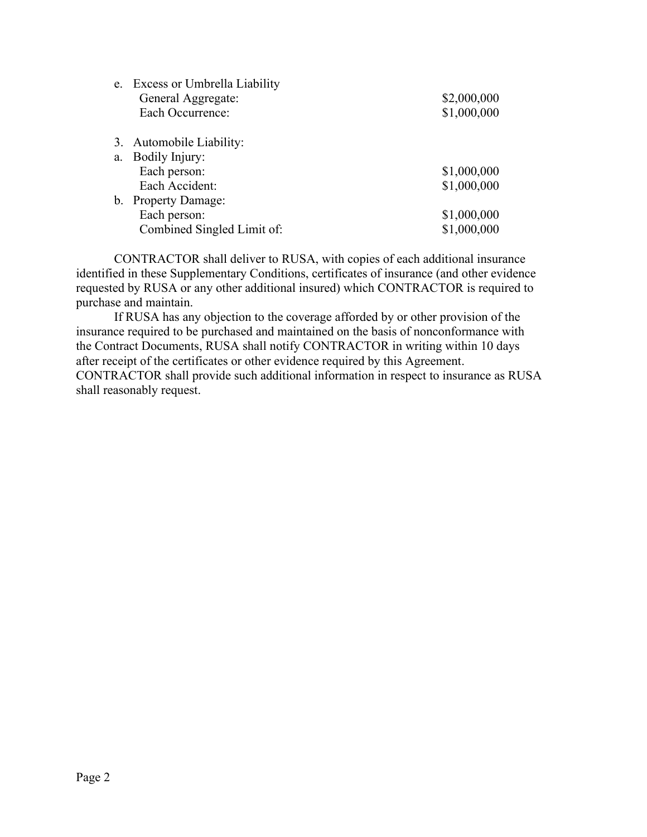|                | e. Excess or Umbrella Liability |             |
|----------------|---------------------------------|-------------|
|                | General Aggregate:              | \$2,000,000 |
|                | Each Occurrence:                | \$1,000,000 |
|                | 3. Automobile Liability:        |             |
| a.             | Bodily Injury:                  |             |
|                | Each person:                    | \$1,000,000 |
|                | Each Accident:                  | \$1,000,000 |
| $\mathbf{b}$ . | <b>Property Damage:</b>         |             |
|                | Each person:                    | \$1,000,000 |
|                | Combined Singled Limit of:      | \$1,000,000 |

CONTRACTOR shall deliver to RUSA, with copies of each additional insurance identified in these Supplementary Conditions, certificates of insurance (and other evidence requested by RUSA or any other additional insured) which CONTRACTOR is required to purchase and maintain.

If RUSA has any objection to the coverage afforded by or other provision of the insurance required to be purchased and maintained on the basis of nonconformance with the Contract Documents, RUSA shall notify CONTRACTOR in writing within 10 days after receipt of the certificates or other evidence required by this Agreement. CONTRACTOR shall provide such additional information in respect to insurance as RUSA shall reasonably request.